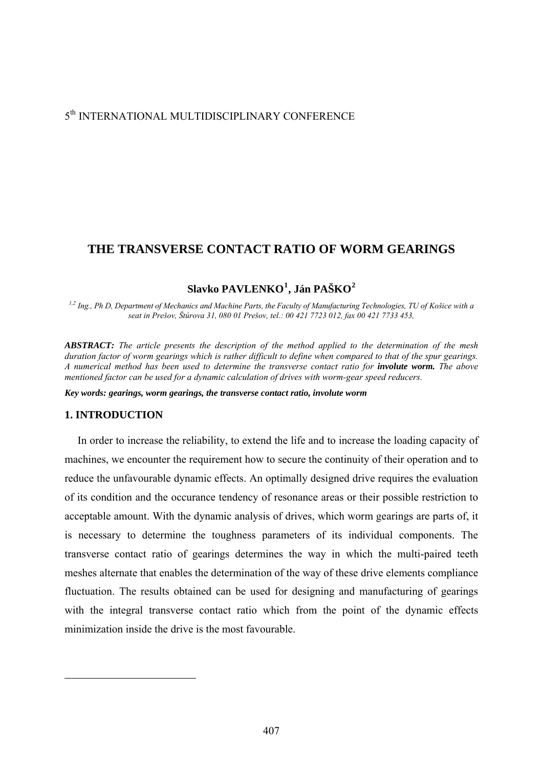# 5th INTERNATIONAL MULTIDISCIPLINARY CONFERENCE

# **THE TRANSVERSE CONTACT RATIO OF WORM GEARINGS**

# **Slavko PAVLENKO[1](#page-0-0) , Ján PAŠKO[2](#page-0-1)**

*1,2 Ing., Ph D, Department of Mechanics and Machine Parts, the Faculty of Manufacturing Technologies, TU of Košice with a seat in Prešov, Štúrova 31, 080 01 Prešov, tel.: 00 421 7723 012, fax 00 421 7733 453,*

*ABSTRACT: The article presents the description of the method applied to the determination of the mesh duration factor of worm gearings which is rather difficult to define when compared to that of the spur gearings. A numerical method has been used to determine the transverse contact ratio for involute worm. The above mentioned factor can be used for a dynamic calculation of drives with worm-gear speed reducers.* 

*Key words: gearings, worm gearings, the transverse contact ratio, involute worm* 

### **1. INTRODUCTION**

<span id="page-0-1"></span><span id="page-0-0"></span>1

In order to increase the reliability, to extend the life and to increase the loading capacity of machines, we encounter the requirement how to secure the continuity of their operation and to reduce the unfavourable dynamic effects. An optimally designed drive requires the evaluation of its condition and the occurance tendency of resonance areas or their possible restriction to acceptable amount. With the dynamic analysis of drives, which worm gearings are parts of, it is necessary to determine the toughness parameters of its individual components. The transverse contact ratio of gearings determines the way in which the multi-paired teeth meshes alternate that enables the determination of the way of these drive elements compliance fluctuation. The results obtained can be used for designing and manufacturing of gearings with the integral transverse contact ratio which from the point of the dynamic effects minimization inside the drive is the most favourable.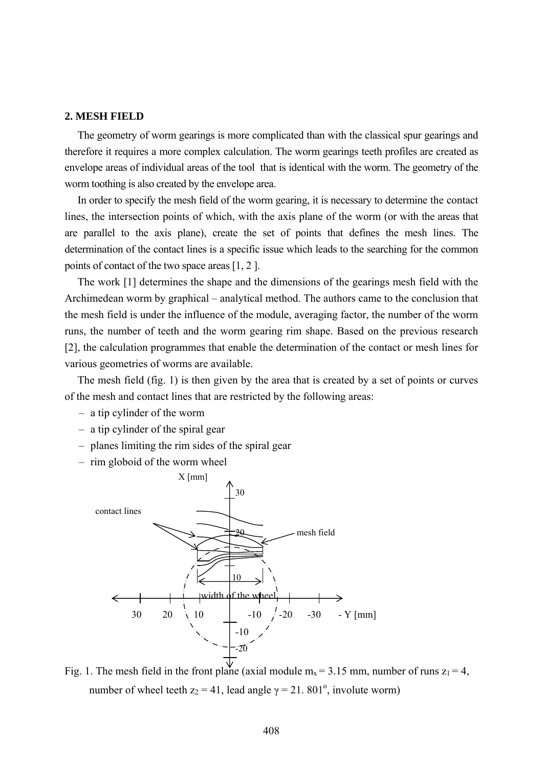## **2. MESH FIELD**

The geometry of worm gearings is more complicated than with the classical spur gearings and therefore it requires a more complex calculation. The worm gearings teeth profiles are created as envelope areas of individual areas of the tool that is identical with the worm. The geometry of the worm toothing is also created by the envelope area.

In order to specify the mesh field of the worm gearing, it is necessary to determine the contact lines, the intersection points of which, with the axis plane of the worm (or with the areas that are parallel to the axis plane), create the set of points that defines the mesh lines. The determination of the contact lines is a specific issue which leads to the searching for the common points of contact of the two space areas [1, 2 ].

The work [1] determines the shape and the dimensions of the gearings mesh field with the Archimedean worm by graphical – analytical method. The authors came to the conclusion that the mesh field is under the influence of the module, averaging factor, the number of the worm runs, the number of teeth and the worm gearing rim shape. Based on the previous research [2], the calculation programmes that enable the determination of the contact or mesh lines for various geometries of worms are available.

The mesh field (fig. 1) is then given by the area that is created by a set of points or curves of the mesh and contact lines that are restricted by the following areas:

- a tip cylinder of the worm
- a tip cylinder of the spiral gear
- planes limiting the rim sides of the spiral gear
- rim globoid of the worm wheel



Fig. 1. The mesh field in the front plane (axial module  $m_x = 3.15$  mm, number of runs  $z_1 = 4$ , number of wheel teeth  $z_2 = 41$ , lead angle  $\gamma = 21$ . 801<sup>o</sup>, involute worm)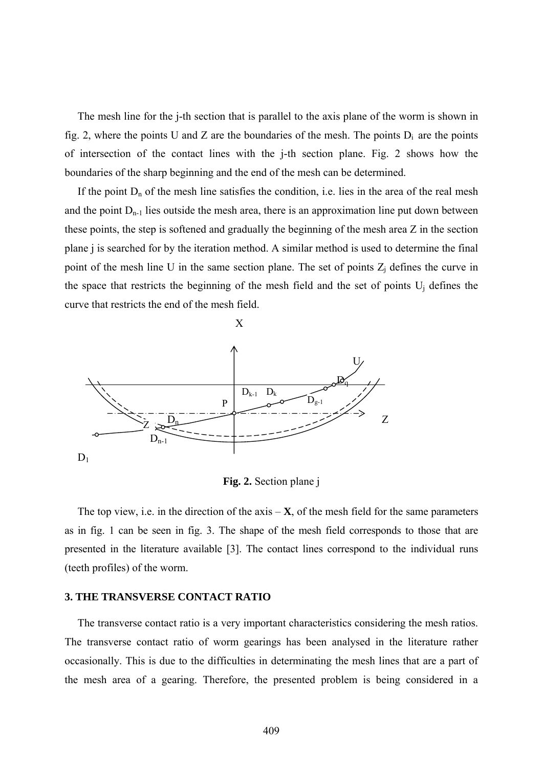The mesh line for the j-th section that is parallel to the axis plane of the worm is shown in fig. 2, where the points U and Z are the boundaries of the mesh. The points  $D_i$  are the points of intersection of the contact lines with the j-th section plane. Fig. 2 shows how the boundaries of the sharp beginning and the end of the mesh can be determined.

If the point  $D_n$  of the mesh line satisfies the condition, i.e. lies in the area of the real mesh and the point  $D_{n-1}$  lies outside the mesh area, there is an approximation line put down between these points, the step is softened and gradually the beginning of the mesh area Z in the section plane j is searched for by the iteration method. A similar method is used to determine the final point of the mesh line U in the same section plane. The set of points  $Z_i$  defines the curve in the space that restricts the beginning of the mesh field and the set of points  $U_i$  defines the curve that restricts the end of the mesh field.



**Fig. 2.** Section plane j

The top view, i.e. in the direction of the axis  $-\mathbf{X}$ , of the mesh field for the same parameters as in fig. 1 can be seen in fig. 3. The shape of the mesh field corresponds to those that are presented in the literature available [3]. The contact lines correspond to the individual runs (teeth profiles) of the worm.

### **3. THE TRANSVERSE CONTACT RATIO**

The transverse contact ratio is a very important characteristics considering the mesh ratios. The transverse contact ratio of worm gearings has been analysed in the literature rather occasionally. This is due to the difficulties in determinating the mesh lines that are a part of the mesh area of a gearing. Therefore, the presented problem is being considered in a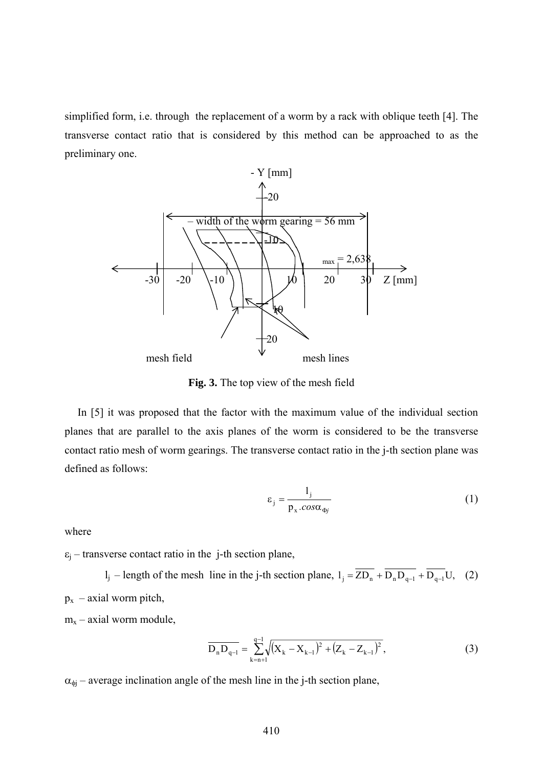simplified form, i.e. through the replacement of a worm by a rack with oblique teeth [4]. The transverse contact ratio that is considered by this method can be approached to as the preliminary one.



**Fig. 3.** The top view of the mesh field

In [5] it was proposed that the factor with the maximum value of the individual section planes that are parallel to the axis planes of the worm is considered to be the transverse contact ratio mesh of worm gearings. The transverse contact ratio in the j-th section plane was defined as follows:

$$
\varepsilon_{j} = \frac{1_{j}}{p_{x} \cdot \cos \alpha_{\phi_{j}}}
$$
 (1)

where

 $\varepsilon$ <sub>i</sub> – transverse contact ratio in the j-th section plane,

l<sub>j</sub> – length of the mesh line in the j-th section plane,  $l_j = \overline{ZD_n} + \overline{D_nD_{q-1}} + \overline{D_{q-1}}U$ , (2)  $p_x$  – axial worm pitch,

 $m_x$  – axial worm module,

$$
\overline{D_n D_{q-1}} = \sum_{k=n+1}^{q-1} \sqrt{(X_k - X_{k-1})^2 + (Z_k - Z_{k-1})^2},
$$
\n(3)

 $\alpha_{\phi}$  – average inclination angle of the mesh line in the j-th section plane,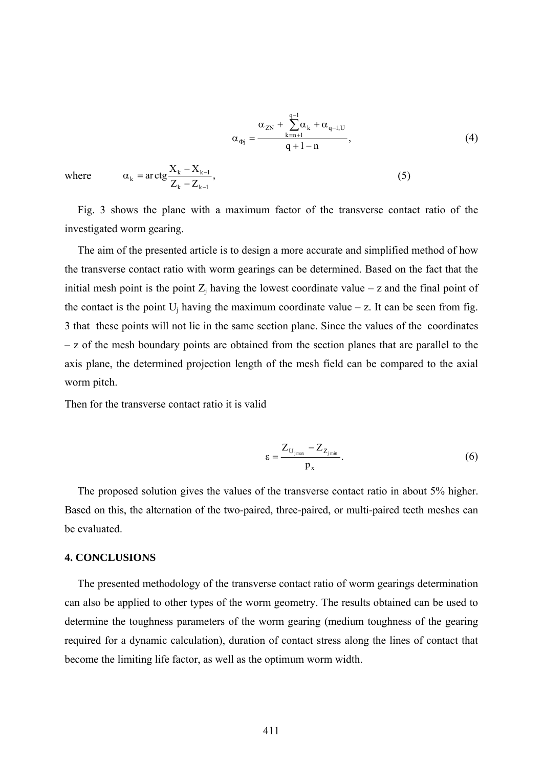$$
\alpha_{\Phi j} = \frac{\alpha_{ZN} + \sum_{k=n+1}^{q-1} \alpha_k + \alpha_{q-1,U}}{q+1-n}, \qquad (4)
$$

where  $\alpha_k = \arctg \frac{X_k - X_{k-1}}{Z_k - Z_{k-1}},$ 

$$
\sum_{k=1}^{n} \sum_{k=1}^{n} \mathbf{F}(\mathbf{x})
$$

 $\alpha_k = \arctg \frac{X_k - X_{k-1}}{n}$ , (5)

The aim of the presented article is to design a more accurate and simplified method of how the transverse contact ratio with worm gearings can be determined. Based on the fact that the initial mesh point is the point  $Z_j$  having the lowest coordinate value – z and the final point of the contact is the point  $U_i$  having the maximum coordinate value – z. It can be seen from fig. 3 that these points will not lie in the same section plane. Since the values of the coordinates – z of the mesh boundary points are obtained from the section planes that are parallel to the axis plane, the determined projection length of the mesh field can be compared to the axial worm pitch.

Then for the transverse contact ratio it is valid

 $k = \arg \frac{X_k - X_{k-1}}{7}$ 

investigated worm gearing.

−

−

$$
\varepsilon = \frac{Z_{U_{j\max}} - Z_{Z_{j\min}}}{p_x}.
$$
 (6)

The proposed solution gives the values of the transverse contact ratio in about 5% higher. Based on this, the alternation of the two-paired, three-paired, or multi-paired teeth meshes can be evaluated.

#### **4. CONCLUSIONS**

The presented methodology of the transverse contact ratio of worm gearings determination can also be applied to other types of the worm geometry. The results obtained can be used to determine the toughness parameters of the worm gearing (medium toughness of the gearing required for a dynamic calculation), duration of contact stress along the lines of contact that become the limiting life factor, as well as the optimum worm width.